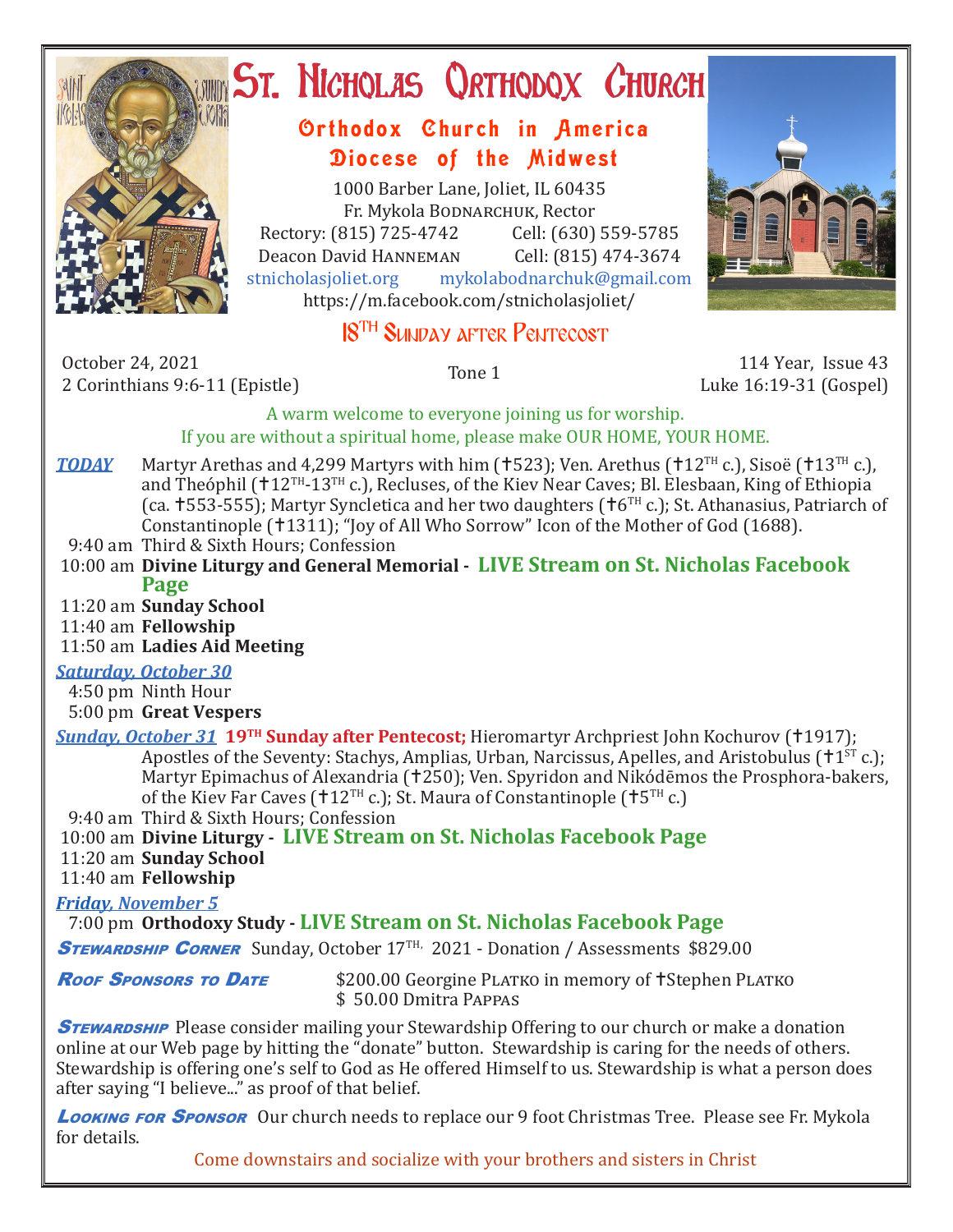

# **ST. NICHOLAS QRTHODOX CHURCH**

## Orthodox Church in America Diocese of the Midwest

1000 Barber Lane, Joliet, IL 60435 Fr. Mykola Bodnarchuk, Rector Rectory: (815) 725-4742 Cell: (630) 559-5785<br>Deacon David HANNEMAN Cell: (815) 474-3674 Deacon David Hanneman<br>stnicholasioliet.org mykola mykolabodnarchuk@gmail.com https://m.facebook.com/stnicholasjoliet/



# 18TH Sunday after Pentecost

October 24, 2021 2 October 24, 2021<br>2 Corinthians 9:6-11 (Epistle) 12 Corinthians 9:6-11 (Epistle) 12 Corinthians 9:6-11 (Epistle)

Luke 16:19-31 (Gospel)

A warm welcome to everyone joining us for worship. If you are without a spiritual home, please make OUR HOME, YOUR HOME.

- **TODAY** Martyr Arethas and 4,299 Martyrs with him ( $\uparrow$ 523); Ven. Arethus ( $\uparrow$ 12<sup>TH</sup> c.), Sisoë ( $\uparrow$ 13<sup>TH</sup> c.), and Theóphil ( $12^{TH}$ - $13^{TH}$  c.), Recluses, of the Kiev Near Caves; Bl. Elesbaan, King of Ethiopia (ca.  $\pm$  553-555); Martyr Syncletica and her two daughters ( $\pm$ 6TH c.); St. Athanasius, Patriarch of Constantinople (†1311); "Joy of All Who Sorrow" Icon of the Mother of God (1688).
- 9:40 am Third & Sixth Hours; Confession
- 10:00 am **Divine Liturgy and General Memorial LIVE Stream on St. Nicholas Facebook Page**
- 11:20 am **Sunday School**
- 11:40 am **Fellowship**
- 11:50 am **Ladies Aid Meeting**

#### *Saturday, October 30*

4:50 pm Ninth Hour

5:00 pm **Great Vespers**

*Sunday, October 31* **19<sup>TH</sup> Sunday after Pentecost;** Hieromartyr Archpriest John Kochurov (†1917); Apostles of the Seventy: Stachys, Amplias, Urban, Narcissus, Apelles, and Aristobulus ( $1^{ST}$  c.); Martyr Epimachus of Alexandria (†250); Ven. Spyridon and Nikódēmos the Prosphora-bakers, of the Kiev Far Caves ( $12^{TH}$  c.); St. Maura of Constantinople ( $15^{TH}$  c.)

9:40 am Third & Sixth Hours; Confession

10:00 am **Divine Liturgy - LIVE Stream on St. Nicholas Facebook Page**

#### 11:20 am **Sunday School**

11:40 am **Fellowship**

#### *Friday, November 5*

7:00 pm **Orthodoxy Study - LIVE Stream on St. Nicholas Facebook Page**

STEWARDSHIP CORNER Sunday, October 17TH, 2021 - Donation / Assessments \$829.00

**Roof Sponsors to DATE** \$200.00 Georgine PLATKO in memory of †Stephen PLATKO \$ 50.00 Dmitra Pappas

**STEWARDSHIP** Please consider mailing your Stewardship Offering to our church or make a donation online at our Web page by hitting the "donate" button. Stewardship is caring for the needs of others. Stewardship is offering one's self to God as He offered Himself to us. Stewardship is what a person does after saying "I believe..." as proof of that belief.

**Looking for Sponsor** Our church needs to replace our 9 foot Christmas Tree. Please see Fr. Mykola for details.

Come downstairs and socialize with your brothers and sisters in Christ